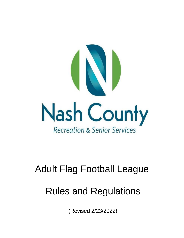

# Adult Flag Football League

# Rules and Regulations

(Revised 2/23/2022)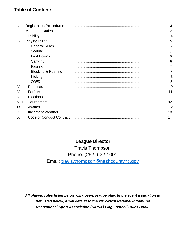# **Table of Contents**

| L           |  |
|-------------|--|
| II.         |  |
| III.        |  |
| IV.         |  |
|             |  |
|             |  |
|             |  |
|             |  |
|             |  |
|             |  |
|             |  |
|             |  |
| $V_{\rm c}$ |  |
| VI.         |  |
| VII.        |  |
| VIII.       |  |
| IX.         |  |
| <b>X</b> .  |  |
| XI.         |  |

# **League Director**

**Travis Thompson** Phone: (252) 532-1001 Email: travis.thompson@nashcountync.gov

All playing rules listed below will govern league play. In the event a situation is not listed below, it will default to the 2017-2018 National Intramural Recreational Sport Association (NIRSA) Flag Football Rules Book.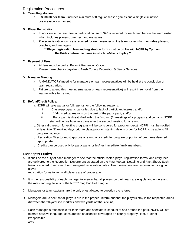# Registration Procedures

## **A. Team Registration:**

a. **\$300.00 per team** - Includes minimum of 8 regular season games and a single elimination post-season tournament.

## **B. Player Registration:**

- a. In addition to the team fee, a participation fee of \$20 is required for each member on the team roster, which includes players, coaches, and managers.
- b. Player registration forms are required for each member on the team roster which includes players, coaches, and managers.

## \*\* **Player registration fees and registration form must be on file with NCPR by 7pm on the Friday before the game in which he/she is to play.\*\***

## **C. Payment of Fees:**

- a. All fees must be paid at Parks & Recreation Office
- b. Please make checks payable to Nash County Recreation & Senior Services

## D. **Manager Meeting:**

- a. A MANDATORY meeting for managers or team representatives will be held at the conclusion of team registration.
- b. Failure to attend this meeting (manager or team representative) will result in removal from the league with a full refund.

# **E. Refund/Credit Policy:**

- a. NCPR will give partial or full *refunds* for the following reasons:
	- i. Classes/programs cancelled due to lack of participant interest, and/or
	- ii. Valid medical reasons on the part of the participant, and/or
	- iii. Participant is dissatisfied within the first two (2) meetings of a program and contacts NCPR staff within five business days after the second meeting for a refund.
- b. Other valid reason for exiting programs will be considered for program *credit.* NCPR must be notified at least two (2) working days prior to class/program starting date in order for NCPR to be able to fill program vacancy.
- b. Recreation Director must approve a refund or a credit for program or portion of programs deemed appropriate.
- c. Credits can be used only by participants or his/her immediate family members.

# **Managers Duties**

A. It shall be the duty of each manager to see that the official roster, player registration forms, and entry fees are delivered to the Recreation Department as stated on the Flag Football Deadline and Fact Sheet. Each team isrequired to register during assigned registration dates. Team managers are responsible for signing player

registration forms to verify all players are of proper age.

- B. It is the responsibility of each manager to assure that all players on their team are eligible and understand the rules and regulations of the NCPR Flag Football League.
- C. Managers or team captains are the only ones allowed to question the referee.
- D. Managers are to see that all players are in the proper uniform and that the players stay in the respected areas (between the 20-yard line markers and two yards off the sideline).
- E. Each manager is responsible for their team and spectators' conduct at and around the park. NCPR will not tolerate abusive language, consumption of alcoholic beverages on county property, litter, or other irresponsible

acts.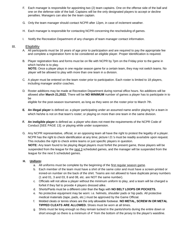- F. Each manager is responsible for appointing two (2) team captains. One on the offense side of the ball and one on the defense side of the ball. Captains will be the only designated players to accept or decline penalties. Managers can also be the team captain.
- G. Only the team manager should contact NCPR after 12pm, in case of inclement weather.
- H. Each manager is responsible for contacting NCPR concerning the rescheduling of games.
- I. Notify the Recreation Department of any changes of team manager contact information.

## III. Eligibility

- A. All participants must be 16 years of age prior to participation and are required to pay the appropriate fee and complete a registration form to be considered an eligible player. Proper Identification is required.
- B. Player registration fees and forms must be on file with NCPR by 7pm on the Friday prior to the game in which he/she is to play.

**NOTE:** Once a player plays in one regular season game for a certain team, they may not switch teams. No player will be allowed to play with more than one team in a division.

- C. A player must be entered on the team roster prior to participation. Each roster is limited to 18 players, including manager and/or coaches.
- D. Roster additions may be made at Recreation Department during normal office hours. No additions will be allowed after **March 21,2022.** There will be **NO MINIMUM** number of games a player has to participate in to be

eligible for the post-season tournament, as long as they were on the roster prior to March 7th.

- **E. An illegal player** is defined as: a player participating under an assumed name and/or playing for a team in which he/she is not on that team's roster; or playing on more than one team in the same division.
- **F. An ineligible player** is defined as: a player who does not meet the requirements of the NCPR Code of Conduct [SEE PAGE 13]; or playing while under suspension.
- G. Any NCPR representative, official, or an opposing team all have the right to protest the legality of a player. NCPR has the right to check identification at any time; picture I.D.'s must be readily available upon request. This includes the right to check entire teams or just specific players in question.

**NOTE:** Any team found to be playing illegal players must forfeit the present game, those players will be suspended from the league for the next 3 scheduled games, and the manager will be suspended from the league for the next 5 scheduled games.

## **H. Uniform:**

- a. All uniforms must be complete by the beginning of the first regular season game.
- b. Each member of the team must have a shirt of the same color and must have a screen-printed or ironed-on number on the back of the shirt. Teams are not allowed to have duplicate jersey numbers (1 and 01, 3 and 03, 8 and 08, etc. are NOT the same number).
- c. Officials will not allow a player without the minimum uniform to play, and a team will be charged a forfeit if they fail to provide 4 players dressed alike.
- d. Shorts/Pants must be a different color than the flags with **NO BELT LOOPS OR POCKETS.**
- e. No protective equipment may be worn: i.e. helmets, shoulder pads or hip pads. All protective medical materials (tape, pads, etc.) must be approved by the Game Official.
- f. Molded cleats or tennis shoes are the only allowable footwear. **NO METAL, SCREW IN OR METAL TIPPED CLEATS ARE ALLOWED.** Shoes must be worn at all times.
- g. Shirts must be long enough so they remain tucked in the pants/shorts during the entire down or short enough so there is a minimum of 4" from the bottom of the jersey to the player's waistline.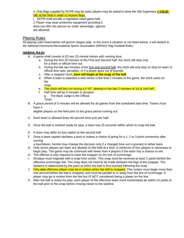h. Only flags supplied by NCPR may be used; players may be asked to show the Site Supervisor a **VALID I.D.** at the field in order to receive flags.

i. NCPR shall provide a regulation-sized game ball. J. Player may wear protective equipment providing it does not offer the person an unfair advantage. (gloves are allowed)

# Playing Rules

*All playing rules listed below will govern league play. In the event a situation is not listed below, it will default to the National Intramural-Recreational Sports Association (NIRSA) Flag Football Rules.*

## **GENERAL RULES**

- A. A game shall consist of (2) two 22-minute halves with running time.
	- a. During the first 20 minutes of the First and Second half, the clock will stop only for a team or official time out.
	- b. During the last two minutes of the first and second half, the clock will only stop on stop on team or official time outs, penalties, or if a player goes out of bounds.
	- c. After a stopped clock**, time will begin at the snap of the ball**
	- d. When a team is awarded a new series in the final 2 minutes of the game, the clock starts on the snap.
	- e. The clock will Not run during a P.AT. attempt in the last 2 minutes of 1st & 2nd half.
	- f. Half time will be 5 minutes in duration.
		- g. The Back Judge is the Official Timer.
- B. A grace period of 5 minutes will be allowed for all games from the scheduled start time. Teams must have 4

eligible players on the field prior to the grace period running out.

- C. Each team is allowed three 60-second time outs per half.
- D. Once the ball is marked ready for play, a team has 25 seconds within which to snap the ball.
- E. A team may defer its toss option to the second half.
- F. Once a team captain declares a punt or makes a choice of going for a 1, 2 or 3 point conversion after scoring

a touchdown, he/she may change the decision only if a charged time out is granted to either team.

- G. Only seven players per team are allowed on the field at a time. A minimum of four players is necessary to begin play. The game may be continued with fewer than 4 players if the team has a chance to win.
- H. The offense is only required to have the snapper on the line of scrimmage.
- I. All plays must originate with a snap from center. This snap must be received at least 2 yards behind the offensive scrimmage line. The snap does not need to be made between the legs of the snapper. The distance is determined by the point at which the ball is first touched following the snap.
- J. Only **one** offensive player may be in motion when the ball is snapped. This motion must begin more than one second before the ball is snapped, and must be parallel to or away from the line of scrimmage. A player may go in motion from the line but IS NOT considered being a player on the line.
- K. After the ball is ready-for-play, each player of the offensive team must momentarily be within 15 yards of the ball prior to the snap before moving closer to the sideline.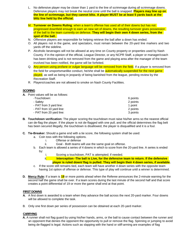- L. No defensive player may be closer than 1 yard to the line of scrimmage during all scrimmage downs. Defensive players may not break the neutral zone until the ball is snapped. **Players may line up on the line of scrimmage, but they cannot blitz. A player MUST be at least 5 yards back at the blitz line held by the official.**
- M. **Turnover on Downs Ruling**: when a team's offense has used all of their downs but has not progressed downfield enough to earn an new set of downs, the resulting turnover gives possession of the ball to the team currently on defense. **They will begin their own 4 down series, from the spot of the ball.**
- N. Offensive players are responsible for helping retrieve the ball after a down has ended.
- O. All players not in the game, and spectators, must remain between the 20-yard line markers and two yards off the sideline.
- P. Alcoholic beverages will not be allowed at any time on County property or properties used by Nash County. If in the opinion of the official, League Director, or any NCPR Staff, a player or manager/coach has been drinking and is not removed from the game and playing area after the manager of the team involved has been notified, the game will be forfeited.
- Q. Any person using profane or vulgar language will be removed from the field. If a player is removed from the field for unsportsmanlike conduct, he/she shall be **automatically suspended for the next game** played, as well as being in jeopardy of being banished from the league, pending review by the Recreation Staff.
- R. Players/coaches are not allowed to smoke on Nash County Facilities.

## **SCORING**

**A.** Point values will be as follows:

| -Touchdown:              | 6 points |
|--------------------------|----------|
| - Safetv:                | 2 points |
| - PAT from 3 yard line:  | 1 point  |
| - PAT from 10 yard line: | 2 points |
| - PAT from 20 yard line: | 3 points |

- **B. Touchdown verification:** The player scoring the touchdown must raise his/her arms so the nearest official can de-flag the player. If the player is not de-flagged with one pull, and the official determines the flag belt has been secured illegally, the touchdown is disallowed, the player is disqualified and it is a foul.
- **C. Tie-Breaker:** Should a game end with a tie score, the following system shall be used:
	- a. Coin toss with the following options.
		- i. Offense or defense
		- ii. Goal Both teams will use the same goal on offense.
	- b. Each team is allowed a series of 4 downs in which to score from the 20-yard line. A series is ended by:
		- i. Scoring a touchdown, PAT is attempted; if needed.
		- ii. **Interception -The ball is Live, for the defensive team to return. If the defensive player is ruled down/ flag is pulled. They will begin their 4 down series, if available.**
	- c. If the score still remains tied, each team will have another 4 down series with the opposite team having 1st option of offense or defense. This type of play will continue until a winner is determined.
- **D. Mercy Rule:** If a team is **19** or more points ahead when the Referee announces the 2-minute warning for the second half the game shall be over. If a team scores during the last minute of the second half and that score creates a point differential of 19 or more the game shall end at that point.

## **FIRST DOWNS**

- **A.** A first down is awarded to a team when they advance the ball across the next 20-yard marker. Four downs will be allowed to complete the task.
- B. Only one first down per series of possession can be obtained at each 20-yard marker.

## **CARRYING**

**A.** A runner shall not flag guard by using his/her hands, arms, or the ball to cause contact between the runner and an opponent that denies the opponent the opportunity to pull or remove the flag. Spinning or jumping to avoid being de-flagged is legal. Actions such as slapping with the hand or stiff-arming are examples of flag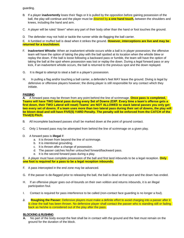guarding.

- B. If a player **inadvertently** loses their flags or it is pulled by the opposition before gaining possession of the ball, the play will continue and the player must be downed by **a one hand touch,** between the shoulders and knees, including the hand and arm.
- C. A player will be ruled "down" when any part of their body other than the hand or foot touches the ground.
- D. The defender may not hold or tackle the runner while de-flagging the ball carrier.

E. A fumbled or muffed ball is dead when it strikes the ground. **However, interceptions are live and may be returned for a touchdown.**

- F. **Inadvertent Whistle:** When an inadvertent whistle occurs while a ball is in player possession, the offensive team will have the option of taking the play with the ball spotted at its location when the whistle blew or replay the down. If the ball is loose following a backward pass or fumble, the team will have the option of taking the ball at the spot where possession was lost or replay the down. During a legal forward pass or any kick, if an inadvertent whistle occurs, the ball is returned to the previous spot and the down replayed.
- G. It is illegal to attempt to steal a ball in a player's possession.
- H. In pulling a flag and/or touching a ball carrier, a defender's feet MAY leave the ground. Diving is legal by defensive or offensive players however; the diving player is still responsible for any contact which they initiate.

## **PASSING**

**A.** A forward pass may be thrown from any point behind the line of scrimmage. **Once pass is completed, Teams will have TWO lateral pass during every Set of Downs (EXP. Every time a team's offense gets a first down, their TWO Lateral will reset) Teams' are NOT ALLOWED to stack lateral passes you only get two every set of downs. If a team uses more than two lateral pass during their set of downs, the play will be blown dead and will have FIVE(5) YARD Penalty. The penalty will be enforced from the CATCH of the Thrid(3) Pitch.**.

- B. All incomplete backward passes shall be marked down at the point of ground contact.
- C. Only 1 forward pass may be attempted from behind the line of scrimmage on a given play.
- D. A forward pass is **illegal** if:
	- a. It is thrown from beyond the line of scrimmage.
	- b. It is intentional grounding.
	- c. It is thrown after a change of possession.
	- d. The passer catches his/her untouched forward/backward pass.
	- e. It is the second forward pass during a play.

E. A player must have complete possession of the ball and first land inbounds to be a legal reception. **Only one foot is required for a pass to be a legal reception inbounds.**

- F. A pass intercepted in the end zone may be advanced.
- G. If the passer is de-flagged prior to releasing the ball, the ball is dead at that spot and the down has ended.
- H. If an offensive player goes out-of-bounds on their own volition and returns inbounds, it is an illegal participation foul.
- I. Contact is required for pass interference to be called (non-contact face guarding is no longer a foul).
- **J. Roughing the Passer:** Defensive players must make a definite effort to avoid charging into a passer after it is clear the ball has been thrown. No defensive player shall contact the passer who is standing still or fading back as he/she is considered out of the play after the pass.

#### **BLOCKING & RUSHING**

**A.** No part of the body except the feet shall be in contact with the ground and the feet must remain on the ground for the duration of the block.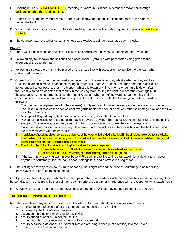- B. Blocking will be by **SCREENING ONLY**, meaning, a blocker must hinder a defender's movement through positioning rather than body contact.
- C. During a block, the body must remain upright with elbows and hands touching the body at the side or behind the back.
- D. While incidental contact may occur, blocking/rushing penalties will be called against the player who initiates contact.
- E. The defense may not use hands, arms, or legs as a wedge to gain an advantage over a blocker.

## **KICKING**

- A. There will be no kickoffs or free kicks. Possessions beginning a new half will begin on the 3-yard line.
- B. Following any touchdown, the ball shall be placed on the 3-yard line with possession being given to the opponent of the scoring team.
- C. Following a safety, the ball shall be placed on the 3-yard line with possession being given to the team who just scored the safety.
- D. On each fourth down, the offense must announce prior to the ready for play whistle whether they will kick. Once the decision is made, it cannot be changed except if a Team A or Team B charged time-out is called, if a period ends, if a foul occurs, or an inadvertent whistle is blown any time prior to or during this down after the Team A captain's decision that results in the kicking team having the right to repeat the down again. In these situations, the Referee must ask the Team A captain whether he/she wants to punt or play and communicate this decision to the Team B captain. If a kick is to be made, the following procedures must be followed:
	- 1. The offense (no requirements for the defense) is only required to have the snapper on the line of scrimmage.
	- 2. The kicker must receive the snap at least two yards behind the center as for any other scrimmage play and the kick must be immediate.
	- 3. Any type of illegal delaying tactic will result in time being added back on the clock.
	- 4. Players of the kicking or receiving team may not advance beyond their respective scrimmage lines until the ball is snapped. The receiving team may attempt to block the kick after it crosses their scrimmage line.
	- 5. Once the ball is snapped, any receiving player may block the kick. Once the kick is blocked the ball is dead and the receiving team will take possession.
	- 6. If a defensive/ receiving player: contacts the plant leg of the kicker while his kicking leg is still in the air. slides into or contacts the kicker when both of the kicker's feet are on the ground. It is not a foul if the contact is not severe, or if the kicker returns both feet to the ground prior to the contact and falls over a defender on the ground
	- $7.$  Running into the Kicker. It is a foul for running into the kicker if a defensive player.
		- i. contacts the kicking foot of the kicker, even if the kicker is airborne when the contact occurs
		- ii. slides under the kicker, preventing him from returning both feet to the ground
	- 8. If the ball hits a receiving team player beyond R's scrimmage line and is then caught by a kicking team player beyond R's scrimmage line, the ball is dead, belongs to K, and a new series begins for K.
- F. The kicking team may catch, touch, muff or bat a punt in flight beyond their line of scrimmage if no receiving team player is in position to catch the ball.

G. A player on the kicking team who tackles, bumps or otherwise interferes with the returner before the ball is caught will be penalized. The officials will either call Fair Catch Interference (FCI), or Interference with the Opportunity to Catch (IOC).

H. A punt which breaks the plane of the goal line is a touchback. A punt may not be run out of the end zone

## **. ROUGHING/RUNNING INTO THE KICKER**

No defensive player may run into or rough a kicker who kicks from behind the line unless such contact:

- 1. is incidental to and occurs after the defender has touched the kick in flight
- 2. is caused by the kicker's own motions
- 3. occurs during a quick kick or a rugby-style kick
- 4. occurs during or after a run behind the line
- 5. occurs after the kicker recovers a loose ball on the ground
- 6. occurs because a defender is pushed or blocked (causing a change of direction) into the kicker
- 7. is the result of a foul by an opponent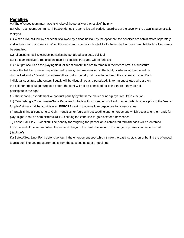# **Penalties**

A.) The offended team may have its choice of the penalty or the result of the play.

B.) When both teams commit an infraction during the same live ball period, regardless of the severity, the down is automatically replayed.

C.) When a live ball foul by one team is followed by a dead ball foul by the opponent, the penalties are administered separately and in the order of occurrence. When the same team commits a live ball foul followed by 1 or more dead ball fouls, all fouls may be penalized.

D.) All unsportsmanlike conduct penalties are penalized as a dead ball foul.

E.) If a team receives three unsportsmanlike penalties the game will be forfeited

F.) If a fight occurs on the playing field, all team substitutes are to remain in their team box. If a substitute enters the field to observe, separate participants, become involved in the fight, or whatever, he/she will be disqualified and a 10-yard unsportsmanlike conduct penalty will be enforced from the succeeding spot. Each individual substitute who enters illegally will be disqualified and penalized. Entering substitutes who are on the field for substitution purposes before the fight will not be penalized for being there if they do not participate in the fight.

G.) The second unsportsmanlike conduct penalty by the same player or non-player results in ejection.

H.) Establishing a Zone Line-to-Gain- Penalties for fouls with succeeding spot enforcement which occurs prior to the "ready for play" signal shall be administered **BEFORE** setting the zone line-to-gain box for a new series.

I. ) Establishing a Zone Line-to-Gain- Penalties for fouls with succeeding spot enforcement, which occur after the "ready for play" signal shall be administered **AFTER** setting the zone line-to-gain box for a new series.

J.) Loose Ball Play. Exception: The penalty for roughing the passer on a completed forward pass will be enforced from the end of the last run when the run ends beyond the neutral zone and no change of possession has occurred ("tack on").

K.) Safety/Goal Line. For a defensive foul, if the enforcement spot which is now the basic spot, is on or behind the offended team's goal line any measurement is from the succeeding spot or goal line.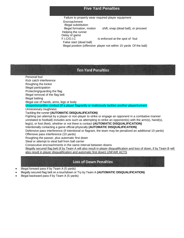# **Five Yard Penalties**

Failure to properly wear required player equipment **Encroachment** Illegal substitution Illegal formation, motion shift, snap (dead ball), or proceed Helping the runner Delay of game F.I.C/O.I.C is enforced at the spot of foul False start (dead ball) Illegal position (offensive player not within 15 yards Of the ball)

# **Ten Yard Penalties**

Personal foul Kick catch interference Roughing the kicker Illegal participation Protecting/guarding the flag Illegal removal of the flag belt Illegal batting Illegal use of hands, arms, legs or body Unsportsmanlike conduct (If a player flagrantly or maliciously tackles another player/runner) Unnecessary roughness Tackling the runner **(AUTOMATIC DISQUALIFICATION)** Fighting (an attempt by a player or non-player to strike or engage an opponent in a combative manner unrelated to football) includes acts such as attempting to strike an opponent(s) with the arm(s), hand(s), leg(s), or foot (feet), whether or not there is contact **(AUTOMATIC DISQUALIFICATION)** Intentionally contacting a game official physically **(AUTOMATIC DISQUALIFICATION)** Defensive pass interference (if intentional or flagrant, the team may be penalized an additional 10 yards) Offensive pass interference (10 yards) Roughing the passer, plus automatic first down Steal or attempt to steal ball from ball carrier Consecutive encroachments in the same interval between downs Illegally secured flag belt (if by Team A will also result in player disqualification and loss of down, if by Team B will also result in player disqualification and automatic first down) UNFAIR ACTS

# **Loss of Down Penalties**

- Illegal forward pass if by Team A (5 yards)
- Illegally secured flag belt on a touchdown or Try by Team A **(AUTOMATIC DISQUALIFICATION)**
- Illegal backward pass if by Team A (5 yards)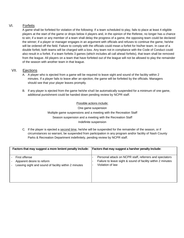# VI. Forfeits

A game shall be forfeited for violation of the following: If a team scheduled to play, fails to place at least 4 eligible players at the start of the game or drops below 4 players and, in the opinion of the Referee, no longer has a chance to win; if a team or any member of a team shall delay the progress of a game, the opposing team could be declared the winner; if a player or manager engages in an argument with officials and refuses to continue the game, he/she will be ordered off the field. Failure to comply with the officials could mean a forfeit for his/her team. In case of a double forfeit, both teams will be charged with a loss. Any team not in compliance with the Code of Conduct could also result in a forfeit. If a team forfeits 3 games (which includes all call ahead forfeits), that team shall be removed from the league. All players on a team that have forfeited out of the league will not be allowed to play the remainder of the season with another team in that league.

## VII. Ejections

- A. A player who is ejected from a game will be required to leave sight and sound of the facility within 2 minutes. If a player fails to leave after an ejection, the game will be forfeited by the officials. Managers should see that your player leaves promptly.
- B. If any player is ejected from the game he/she shall be automatically suspended for a minimum of one game, additional punishment could be handed down pending review by NCPR staff.

Possible actions include:

One game suspension

Multiple game suspensions and a meeting with the Recreation Staff Season suspension and a meeting with the Recreation Staff Indefinite suspension

C. If the player is ejected a second time, he/she will be suspended for the remainder of the season, or if circumstances so warrant, be suspended from participation in any program and/or facility of Nash County Parks & Recreation Department indefinitely, pending review by NCPR staff.

| Factors that may suggest a more lenient penalty include: | Factors that may suggest a harsher penalty include:         |
|----------------------------------------------------------|-------------------------------------------------------------|
| First offense                                            | Personal attack on NCPR staff, referrers and spectators     |
| Apparent desire to reform                                | Failure to leave sight & sound of facility within 2 minutes |
| Leaving sight and sound of facility within 2 minutes     | Violation of law                                            |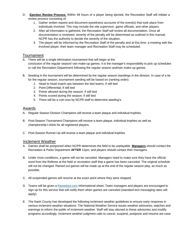- D. **Ejection Review Process:** Within 48 hours of a player being ejected, the Recreation Staff will initiate a review process consisting of:
	- 1. Gather written reports and document eyewitness accounts of the event(s) that took place from individuals involved. This may include the site supervisor, game officials, and other players.
	- 2. After all information is gathered, the Recreation Staff will review all documentation. Once all documentation is reviewed, severity of the penalty will be determined as outlined in this manual. NCPR has the authority to decide the severity of the situation.
	- 3. The player will be informed by the Recreation Staff of the penalty and at this time, a meeting with the involved player, their team manager and Recreation Staff may be scheduled.

# Tournament

- A. There will be a single elimination tournament that will begin at the conclusion of the regular season/ rain make-up games. It is the manager's responsibility to pick up schedules or call the Recreation Department following the regular season and/rain make-up games.
- B. Seeding in the tournament will be determined by the regular season standings in the division. In case of a tie for the regular season, tournament seeding will be based on (ranking order):
	- 1. Head to head match-ups between the tied teams; if still tied
	- 2. Point Differential; if still tied
	- 3. Points allowed during the season; if still tied
	- 4. Points scored during the season; if still tied
	- 5. There will be a coin toss by NCPR staff to determine seeding's.

## Awards

- A. Regular Season Division Champions will receive a team plaque and individual trophies.
- B. Post-Season Tournament Champions will receive a team plaque, individual trophies as well as championship t-shirts for all registered players.
- C. Post-Season Runner-Up will receive a team plaque and individual trophies

# Inclement Weather

- A. Games shall be postponed when NCPR determines the field to be unplayable. **Managers** should contact the Recreation & Parks Department **AFTER** 12pm, and players should contact their managers.
- B. Under most conditions, a game will not be canceled. Managers need to make sure they have the official word from the Referee at the field or recreation staff that a game has been canceled. The original schedule will not be changed. Rained out games will be made up at the end of the regular season play, as much as possible.
- C. All suspended games will resume at the exact point where they were stopped.
- D. Teams will be given a [Rainedout.com](http://rainedout.com/) informational sheet. Team managers and players are encouraged to sign up for this service that will notify them when games are canceled (standard text messaging rates will apply).
- E. The Nash County has developed the following inclement weather guidelines to ensure early response in various inclement weather situations. The National Weather Service issues weather advisories, watches and warnings to inform the public of inclement weather. Staff will stay attuned to these advisories and modify programs accordingly. Inclement weather judgment calls to cancel, suspend, postpone and resume are case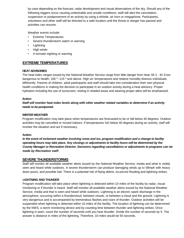by case depending on the forecast, radar development and visual observations of the sky. Should any of the following triggers occur causing undesirable and unsafe conditions; staff will alert the cancelation, suspension or postponement of an activity by using a whistle, air horn or megaphone. Participants, volunteers and other staff will be directed to a safe location until the threat or danger has passed and activities can resume.

Weather events include:

- Extreme Temperatures
- Severe thunderstorm watch or warning
- Lightning
- High winds
- A tornado sighting or warning

# **EXTREME TEMPERATURES**

## **HEAT ADVISORIES**

The heat index ranges issued by the National Weather Service range from little danger from heat; 65 2 - 81 9 too dangerous to health; 106 <sup>9</sup> -115 <sup>9</sup> and above. High air temperatures and relative humidity distress individuals differently. Parents of children, adult participants and staff should take into consideration their own physical health conditions in making the decision to participate in an outdoor activity during a heat advisory. Proper hydration including the use of sunscreen, resting in shaded areas and wearing proper attire will be emphasized.

## **Action:**

## *Staff will monitor heat index levels along with other weather related variables to determine if an activity needs to be postponed.*

## **WINTER WEATHER**

Program modification may take place when temperatures are forecasted to be or fall below 40 degrees. Outdoor activities may be cancelled or moved indoors. If temperatures fall below 40 degrees during an activity, staff will monitor the situation and act if necessary.

#### **Action:**

*In the event of inclement weather involving snow and ice, program modification and a change to facility operating hours may take place. Any closings or adjustments to facility hours will be determined by the County Manager or Recreation Director. Decisions regarding cancellations or adjustments to programs can be made by Recreation staff.*

## **SEVERE THUNDERSTORMS**

Staff will monitor all available weather alerts issued by the National Weather Service, media and what is visibly seen and heard while outdoors. A severe thunderstorm can produce damaging winds up to 58mph with heavy down pours, and possible hail. There is a potential risk of flying debris, localized flooding and lightning strikes.

#### **LIGHTNING AND THUNDER**

Program modification will take place when lightning is detected within 10 miles of the facility by radar, visual monitoring or if thunder is heard. Staff will monitor all available weather alerts issued by the National Weather Service, media and that is seen and heard while outdoors. Lightning is an electric spark discharge in the atmosphere, occurring within a thundercloud, between clouds, or between a cloud and the ground. Lightning is very dangerous and is accompanied by tremendous flashes and roars of thunder. Outdoor activities will be suspended when lightning is detected within 10 miles of the facility. The location of lightning can be determined by the NWS, a storm monitoring device and by counting time between thunder and lightning strikes. Once lightning is seen, count the number of seconds until you hear thunder. Divide the number of seconds by 5. The answer is distance in miles of the lightning. Therefore, 10 miles would be 50 seconds.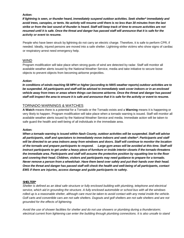## **Action:**

*If lightning is seen, or thunder heard, immediately suspend outdoor activities. Seek shelter\* immediately and avoid trees, canopies, or tents. No activity will resume until there is no less than 30 minutes from the last strike or from the last sound of thunder is heard. Staff will keep track of time to ensure activities are not resumed until it is safe. Once the threat and danger has passed staff will announce that it is safe for the activity or event to resume.*

People who have been struck by lightning do not carry an electric charge. Therefore, it is safe to perform CPR, if needed. Ideally, injured persons are moved into a safe shelter. Lightning-strike victims who show signs of cardiac or respiratory arrest need emergency help.

## WIND

Program modification will take place when strong gusts of wind are detected by radar. Staff will monitor all available weather alerts issued by the National Weather Service, media and take initiative to secure loose objects to prevent objects from becoming airborne projectiles.

## *Action:*

*In conditions of winds reaching 58 MPH or higher (according to NWS weather reports) outdoor activities are to be suspended. All participants and staff will be advised to immediately seek cover indoors or in an enclosed vehicle away from trees or areas where things can become airborne. Once the threat and danger has passed staff will inspect the area to ensure it is safe and announce that it is safe for the activity or event to resume.*

## TORNADO WARNINGS & WATCHES

**A Watch** means there is a potential for a Tornado or the Tornado exists and a **Warning** means it is happening or very likely to happen. Program modification will take place when a tornado warning is issued. Staff will monitor all available weather alerts issued by the National Weather Service and media. Immediate action will be taken to safe guard the health and well-being of all individuals in the immediate area.

#### **Action:**

*When a tornado warning is issued within Nash County, outdoor activities will be suspended. Staff will advise all participants, staff and spectators to immediately move indoors and seek shelter\*. Participants and staff will be directed to an area indoors away from windows and doors. Staff will continue to monitor the location of the tornado and prepare participants to respond. Large gym areas will be avoided at this time. Staff will instruct participants to get under a heavy piece of furniture or inside interior closets if the tornado threatens the immediate area. Participants and staff will assume the protective position by squatting low to the floor and covering their head. Children, visitors and participants may need guidance to prepare for a tornado. Never remove a person from a wheelchair. Have them bend over safely and put their hands over their head. Once the threat and danger has passed staff will check the health and well-being of all participants, contact EMS if there are injuries, access damage and guide participants to safety.*

#### **SHELTER\***

*Shelter is defined as an ideal safe structure or fully enclosed building with plumbing, telephone and electrical service, which aid in grounding the structure. A fully enclosed automobile or school bus with all the windows rolled up is a reasonable shelter, although care must be taken to avoid contact with any metal inside the vehicle. Golf carts and convertible cars are not safe shelters. Dugouts and golf shelters are not safe shelters and are not grounded for the effects of lightening.*

*Avoid the use of shower facilities for shelter and do not use showers or plumbing during a thunderstorm; electrical current from lightening can enter the building through plumbing connections. It is also unsafe to stand*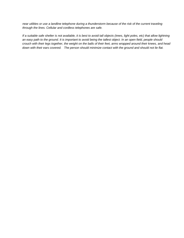*near utilities or use a landline telephone during a thunderstorm because of the risk of the current traveling through the lines. Cellular and cordless telephones are safe.*

*If a suitable safe shelter is not available, it is best to avoid tall objects (trees, light poles, etc) that allow lightning an easy path to the ground. It is important to avoid being the tallest object. In an open field, people should crouch with their legs together, the weight on the balls of their feet, arms wrapped around their knees, and head down with their ears covered. The person should minimize contact with the ground and should not lie flat.*